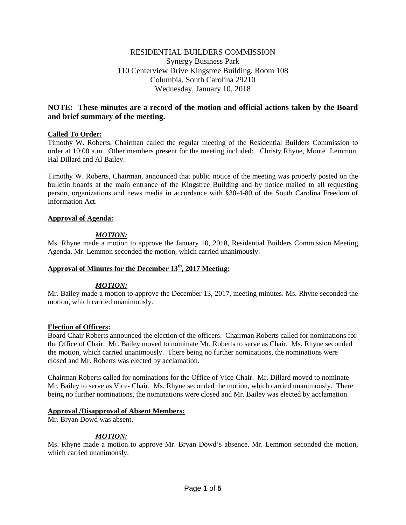# RESIDENTIAL BUILDERS COMMISSION Synergy Business Park 110 Centerview Drive Kingstree Building, Room 108 Columbia, South Carolina 29210 Wednesday, January 10, 2018

# **NOTE: These minutes are a record of the motion and official actions taken by the Board and brief summary of the meeting.**

# **Called To Order:**

Timothy W. Roberts, Chairman called the regular meeting of the Residential Builders Commission to order at 10:00 a.m. Other members present for the meeting included: Christy Rhyne, Monte Lemmon, Hal Dillard and Al Bailey.

Timothy W. Roberts, Chairman, announced that public notice of the meeting was properly posted on the bulletin boards at the main entrance of the Kingstree Building and by notice mailed to all requesting person, organizations and news media in accordance with §30-4-80 of the South Carolina Freedom of Information Act.

## **Approval of Agenda:**

# *MOTION:*

Ms. Rhyne made a motion to approve the January 10, 2018, Residential Builders Commission Meeting Agenda. Mr. Lemmon seconded the motion, which carried unanimously.

# Approval of Minutes for the December 13<sup>th</sup>, 2017 Meeting:

## *MOTION:*

Mr. Bailey made a motion to approve the December 13, 2017, meeting minutes. Ms. Rhyne seconded the motion, which carried unanimously.

## **Election of Officers:**

Board Chair Roberts announced the election of the officers. Chairman Roberts called for nominations for the Office of Chair. Mr. Bailey moved to nominate Mr. Roberts to serve as Chair. Ms. Rhyne seconded the motion, which carried unanimously. There being no further nominations, the nominations were closed and Mr. Roberts was elected by acclamation.

Chairman Roberts called for nominations for the Office of Vice-Chair. Mr. Dillard moved to nominate Mr. Bailey to serve as Vice- Chair. Ms. Rhyne seconded the motion, which carried unanimously. There being no further nominations, the nominations were closed and Mr. Bailey was elected by acclamation.

## **Approval /Disapproval of Absent Members:**

Mr. Bryan Dowd was absent.

# *MOTION:*

Ms. Rhyne made a motion to approve Mr. Bryan Dowd's absence. Mr. Lemmon seconded the motion, which carried unanimously.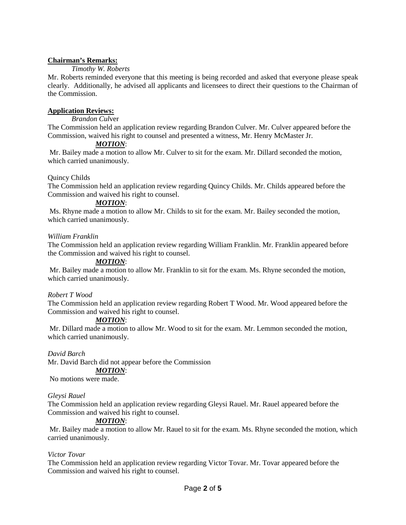# **Chairman's Remarks:**

# *Timothy W. Roberts*

Mr. Roberts reminded everyone that this meeting is being recorded and asked that everyone please speak clearly. Additionally, he advised all applicants and licensees to direct their questions to the Chairman of the Commission.

# **Application Reviews:**

*Brandon Cul*ver

The Commission held an application review regarding Brandon Culver. Mr. Culver appeared before the Commission, waived his right to counsel and presented a witness, Mr. Henry McMaster Jr.

# *MOTION*:

Mr. Bailey made a motion to allow Mr. Culver to sit for the exam. Mr. Dillard seconded the motion, which carried unanimously.

# Quincy Childs

The Commission held an application review regarding Quincy Childs. Mr. Childs appeared before the Commission and waived his right to counsel.

## *MOTION*:

Ms. Rhyne made a motion to allow Mr. Childs to sit for the exam. Mr. Bailey seconded the motion, which carried unanimously.

## *William Franklin*

The Commission held an application review regarding William Franklin. Mr. Franklin appeared before the Commission and waived his right to counsel.

## *MOTION*:

Mr. Bailey made a motion to allow Mr. Franklin to sit for the exam. Ms. Rhyne seconded the motion, which carried unanimously.

## *Robert T Wood*

The Commission held an application review regarding Robert T Wood. Mr. Wood appeared before the Commission and waived his right to counsel.

## *MOTION*:

Mr. Dillard made a motion to allow Mr. Wood to sit for the exam. Mr. Lemmon seconded the motion, which carried unanimously.

## *David Barch*

Mr. David Barch did not appear before the Commission

## *MOTION*:

No motions were made.

## *Gleysi Rauel*

The Commission held an application review regarding Gleysi Rauel. Mr. Rauel appeared before the Commission and waived his right to counsel.

# *MOTION*:

Mr. Bailey made a motion to allow Mr. Rauel to sit for the exam. Ms. Rhyne seconded the motion, which carried unanimously.

## *Victor Tovar*

The Commission held an application review regarding Victor Tovar. Mr. Tovar appeared before the Commission and waived his right to counsel.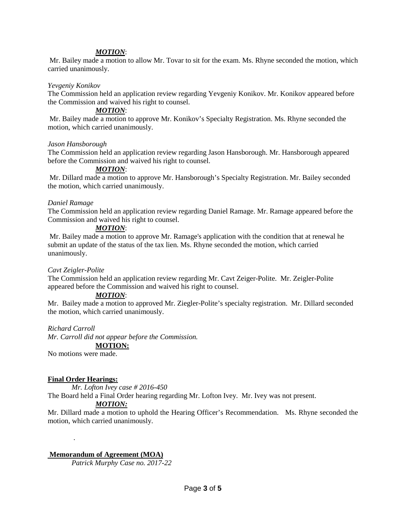#### *MOTION*:

Mr. Bailey made a motion to allow Mr. Tovar to sit for the exam. Ms. Rhyne seconded the motion, which carried unanimously.

#### *Yevgeniy Konikov*

The Commission held an application review regarding Yevgeniy Konikov. Mr. Konikov appeared before the Commission and waived his right to counsel.

#### *MOTION*:

Mr. Bailey made a motion to approve Mr. Konikov's Specialty Registration. Ms. Rhyne seconded the motion, which carried unanimously.

#### *Jason Hansborough*

The Commission held an application review regarding Jason Hansborough. Mr. Hansborough appeared before the Commission and waived his right to counsel.

# *MOTION*:

Mr. Dillard made a motion to approve Mr. Hansborough's Specialty Registration. Mr. Bailey seconded the motion, which carried unanimously.

#### *Daniel Ramage*

The Commission held an application review regarding Daniel Ramage. Mr. Ramage appeared before the Commission and waived his right to counsel.

#### *MOTION*:

Mr. Bailey made a motion to approve Mr. Ramage's application with the condition that at renewal he submit an update of the status of the tax lien. Ms. Rhyne seconded the motion, which carried unanimously.

#### *Cavt Zeigler-Polite*

The Commission held an application review regarding Mr. Cavt Zeiger-Polite. Mr. Zeigler-Polite appeared before the Commission and waived his right to counsel.

#### *MOTION*:

Mr. Bailey made a motion to approved Mr. Ziegler-Polite's specialty registration. Mr. Dillard seconded the motion, which carried unanimously.

#### *Richard Carroll*

*Mr. Carroll did not appear before the Commission.* **MOTION:**

No motions were made.

#### **Final Order Hearings:**

.

*Mr. Lofton Ivey case # 2016-450*

The Board held a Final Order hearing regarding Mr. Lofton Ivey. Mr. Ivey was not present.

#### *MOTION:*

Mr. Dillard made a motion to uphold the Hearing Officer's Recommendation. Ms. Rhyne seconded the motion, which carried unanimously.

#### **Memorandum of Agreement (MOA)**

*Patrick Murphy Case no. 2017-22*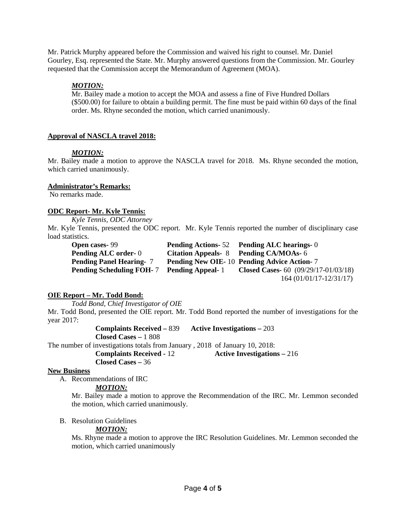Mr. Patrick Murphy appeared before the Commission and waived his right to counsel. Mr. Daniel Gourley, Esq. represented the State. Mr. Murphy answered questions from the Commission. Mr. Gourley requested that the Commission accept the Memorandum of Agreement (MOA).

# *MOTION:*

Mr. Bailey made a motion to accept the MOA and assess a fine of Five Hundred Dollars (\$500.00) for failure to obtain a building permit. The fine must be paid within 60 days of the final order. Ms. Rhyne seconded the motion, which carried unanimously.

# **Approval of NASCLA travel 2018:**

## *MOTION:*

Mr. Bailey made a motion to approve the NASCLA travel for 2018. Ms. Rhyne seconded the motion, which carried unanimously.

## **Administrator's Remarks:**

No remarks made.

## **ODC Report- Mr. Kyle Tennis:**

*Kyle Tennis, ODC Attorney* 

Mr. Kyle Tennis, presented the ODC report. Mr. Kyle Tennis reported the number of disciplinary case load statistics.

| <b>Open cases-99</b>            |                         | <b>Pending Actions-52</b> Pending ALC hearings-0  |
|---------------------------------|-------------------------|---------------------------------------------------|
| <b>Pending ALC order-0</b>      |                         | Citation Appeals- 8 Pending CA/MOAs- 6            |
| <b>Pending Panel Hearing-</b> 7 |                         | <b>Pending New OIE-10 Pending Advice Action-7</b> |
| <b>Pending Scheduling FOH-7</b> | <b>Pending Appeal-1</b> | <b>Closed Cases-</b> 60 $(09/29/17-01/03/18)$     |
|                                 |                         | $164(01/01/17-12/31/17)$                          |

# **OIE Report – Mr. Todd Bond:**

*Todd Bond, Chief Investigator of OIE*

Mr. Todd Bond, presented the OIE report. Mr. Todd Bond reported the number of investigations for the year 2017:

**Complaints Received –** 839 **Active Investigations –** 203

**Closed Cases –** 1 808

The number of investigations totals from January , 2018 of January 10, 2018:<br> **Complaints Received - 12** Active Investigation

**Active Investigations –** 216

# **Closed Cases –** 36

## **New Business**

A. Recommendations of IRC

## *MOTION:*

Mr. Bailey made a motion to approve the Recommendation of the IRC. Mr. Lemmon seconded the motion, which carried unanimously.

# B. Resolution Guidelines

# *MOTION:*

Ms. Rhyne made a motion to approve the IRC Resolution Guidelines. Mr. Lemmon seconded the motion, which carried unanimously